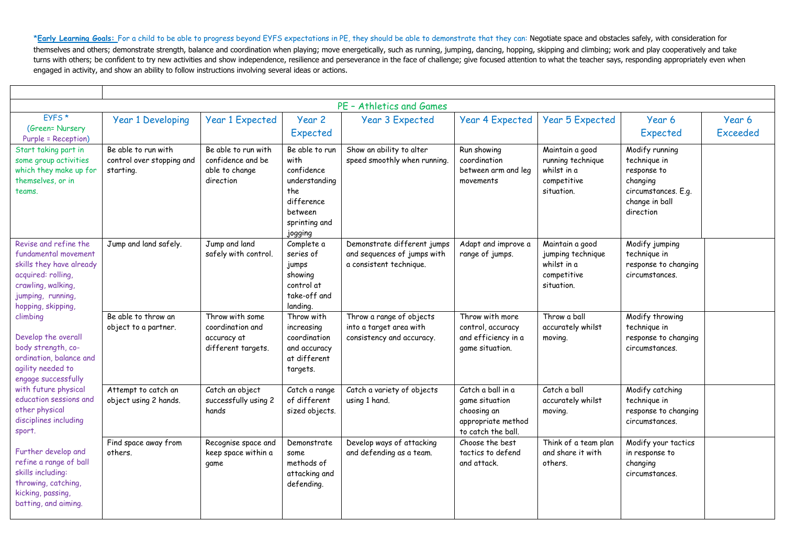| PE - Athletics and Games                                                                                                                                                                                                                                                                                                                                                                                                                                                                                                                          |                                                               |                                                                          |                                                                                                                   |                                                                                       |                                                                                                |                                                                                  |                                                                                                                 |                           |  |  |
|---------------------------------------------------------------------------------------------------------------------------------------------------------------------------------------------------------------------------------------------------------------------------------------------------------------------------------------------------------------------------------------------------------------------------------------------------------------------------------------------------------------------------------------------------|---------------------------------------------------------------|--------------------------------------------------------------------------|-------------------------------------------------------------------------------------------------------------------|---------------------------------------------------------------------------------------|------------------------------------------------------------------------------------------------|----------------------------------------------------------------------------------|-----------------------------------------------------------------------------------------------------------------|---------------------------|--|--|
| EYFS <sup>*</sup><br>(Green= Nursery<br><b>Purple = Reception)</b>                                                                                                                                                                                                                                                                                                                                                                                                                                                                                | <b>Year 1 Developing</b>                                      | <b>Year 1 Expected</b>                                                   | Year 2<br>Expected                                                                                                | <b>Year 3 Expected</b>                                                                | <b>Year 4 Expected</b>                                                                         | <b>Year 5 Expected</b>                                                           | Year 6<br>Expected                                                                                              | Year 6<br><b>Exceeded</b> |  |  |
| Start taking part in<br>some group activities<br>which they make up for<br>themselves, or in<br>teams.                                                                                                                                                                                                                                                                                                                                                                                                                                            | Be able to run with<br>control over stopping and<br>starting. | Be able to run with<br>confidence and be<br>able to change<br>direction  | Be able to run<br>with<br>confidence<br>understanding<br>the<br>difference<br>between<br>sprinting and<br>jogging | Show an ability to alter<br>speed smoothly when running.                              | Run showing<br>coordination<br>between arm and leg<br>movements                                | Maintain a good<br>running technique<br>whilst in a<br>competitive<br>situation. | Modify running<br>technique in<br>response to<br>changing<br>circumstances. E.g.<br>change in ball<br>direction |                           |  |  |
| Revise and refine the<br>fundamental movement<br>skills they have already<br>acquired: rolling,<br>crawling, walking,<br>jumping, running,<br>hopping, skipping,<br>climbing<br>Develop the overall<br>body strength, co-<br>ordination, balance and<br>agility needed to<br>engage successfully<br>with future physical<br>education sessions and<br>other physical<br>disciplines including<br>sport.<br>Further develop and<br>refine a range of ball<br>skills including:<br>throwing, catching,<br>kicking, passing,<br>batting, and aiming. | Jump and land safely.                                         | Jump and land<br>safely with control.                                    | Complete a<br>series of<br>jumps<br>showing<br>control at<br>take-off and<br>landing.                             | Demonstrate different jumps<br>and sequences of jumps with<br>a consistent technique. | Adapt and improve a<br>range of jumps.                                                         | Maintain a good<br>jumping technique<br>whilst in a<br>competitive<br>situation. | Modify jumping<br>technique in<br>response to changing<br>circumstances.                                        |                           |  |  |
|                                                                                                                                                                                                                                                                                                                                                                                                                                                                                                                                                   | Be able to throw an<br>object to a partner.                   | Throw with some<br>coordination and<br>accuracy at<br>different targets. | Throw with<br>increasing<br>coordination<br>and accuracy<br>at different<br>targets.                              | Throw a range of objects<br>into a target area with<br>consistency and accuracy.      | Throw with more<br>control, accuracy<br>and efficiency in a<br>game situation.                 | Throw a ball<br>accurately whilst<br>moving.                                     | Modify throwing<br>technique in<br>response to changing<br>circumstances.                                       |                           |  |  |
|                                                                                                                                                                                                                                                                                                                                                                                                                                                                                                                                                   | Attempt to catch an<br>object using 2 hands.                  | Catch an object<br>successfully using 2<br>hands                         | Catch a range<br>of different<br>sized objects.                                                                   | Catch a variety of objects<br>using 1 hand.                                           | Catch a ball in a<br>game situation<br>choosing an<br>appropriate method<br>to catch the ball. | Catch a ball<br>accurately whilst<br>moving.                                     | Modify catching<br>technique in<br>response to changing<br>circumstances.                                       |                           |  |  |
|                                                                                                                                                                                                                                                                                                                                                                                                                                                                                                                                                   | Find space away from<br>others.                               | Recognise space and<br>keep space within a<br>game                       | Demonstrate<br>some<br>methods of<br>attacking and<br>defending.                                                  | Develop ways of attacking<br>and defending as a team.                                 | Choose the best<br>tactics to defend<br>and attack.                                            | Think of a team plan<br>and share it with<br>others.                             | Modify your tactics<br>in response to<br>changing<br>circumstances.                                             |                           |  |  |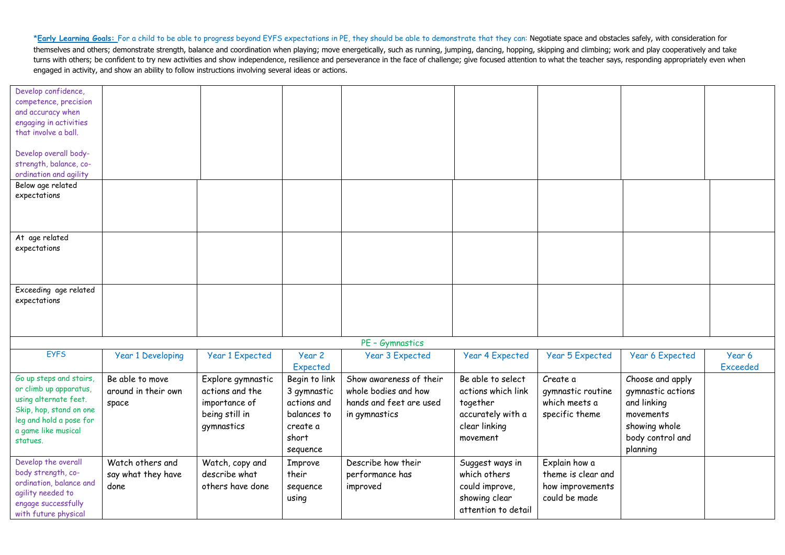| Develop confidence,<br>competence, precision |                          |                        |               |                         |                        |                        |                        |                 |
|----------------------------------------------|--------------------------|------------------------|---------------|-------------------------|------------------------|------------------------|------------------------|-----------------|
| and accuracy when                            |                          |                        |               |                         |                        |                        |                        |                 |
| engaging in activities                       |                          |                        |               |                         |                        |                        |                        |                 |
| that involve a ball.                         |                          |                        |               |                         |                        |                        |                        |                 |
|                                              |                          |                        |               |                         |                        |                        |                        |                 |
| Develop overall body-                        |                          |                        |               |                         |                        |                        |                        |                 |
| strength, balance, co-                       |                          |                        |               |                         |                        |                        |                        |                 |
| ordination and agility                       |                          |                        |               |                         |                        |                        |                        |                 |
| Below age related                            |                          |                        |               |                         |                        |                        |                        |                 |
| expectations                                 |                          |                        |               |                         |                        |                        |                        |                 |
|                                              |                          |                        |               |                         |                        |                        |                        |                 |
|                                              |                          |                        |               |                         |                        |                        |                        |                 |
|                                              |                          |                        |               |                         |                        |                        |                        |                 |
| At age related                               |                          |                        |               |                         |                        |                        |                        |                 |
| expectations                                 |                          |                        |               |                         |                        |                        |                        |                 |
|                                              |                          |                        |               |                         |                        |                        |                        |                 |
|                                              |                          |                        |               |                         |                        |                        |                        |                 |
|                                              |                          |                        |               |                         |                        |                        |                        |                 |
| Exceeding age related                        |                          |                        |               |                         |                        |                        |                        |                 |
| expectations                                 |                          |                        |               |                         |                        |                        |                        |                 |
|                                              |                          |                        |               |                         |                        |                        |                        |                 |
|                                              |                          |                        |               |                         |                        |                        |                        |                 |
|                                              |                          |                        |               |                         |                        |                        |                        |                 |
|                                              |                          |                        |               | PE - Gymnastics         |                        |                        |                        |                 |
| <b>EYFS</b>                                  | <b>Year 1 Developing</b> | <b>Year 1 Expected</b> | Year 2        | <b>Year 3 Expected</b>  | <b>Year 4 Expected</b> | <b>Year 5 Expected</b> | <b>Year 6 Expected</b> | Year 6          |
|                                              |                          |                        | Expected      |                         |                        |                        |                        | <b>Exceeded</b> |
| Go up steps and stairs,                      | Be able to move          | Explore gymnastic      | Begin to link | Show awareness of their | Be able to select      | Create a               | Choose and apply       |                 |
| or climb up apparatus,                       | around in their own      | actions and the        | 3 gymnastic   | whole bodies and how    | actions which link     | gymnastic routine      | gymnastic actions      |                 |
| using alternate feet.                        | space                    | importance of          | actions and   | hands and feet are used | together               | which meets a          | and linking            |                 |
| Skip, hop, stand on one                      |                          | being still in         | balances to   | in gymnastics           | accurately with a      | specific theme         | movements              |                 |
| leg and hold a pose for                      |                          | gymnastics             | create a      |                         | clear linking          |                        | showing whole          |                 |
| a game like musical                          |                          |                        | short         |                         |                        |                        |                        |                 |
| statues.                                     |                          |                        |               |                         | movement               |                        | body control and       |                 |
|                                              |                          |                        | sequence      |                         |                        |                        | planning               |                 |
| Develop the overall                          | Watch others and         | Watch, copy and        | Improve       | Describe how their      | Suggest ways in        | Explain how a          |                        |                 |
| body strength, co-                           | say what they have       | describe what          | their         | performance has         | which others           | theme is clear and     |                        |                 |
| ordination, balance and                      | done                     | others have done       | sequence      | improved                | could improve,         | how improvements       |                        |                 |
| agility needed to                            |                          |                        | using         |                         | showing clear          | could be made          |                        |                 |
| engage successfully                          |                          |                        |               |                         | attention to detail    |                        |                        |                 |
| with future physical                         |                          |                        |               |                         |                        |                        |                        |                 |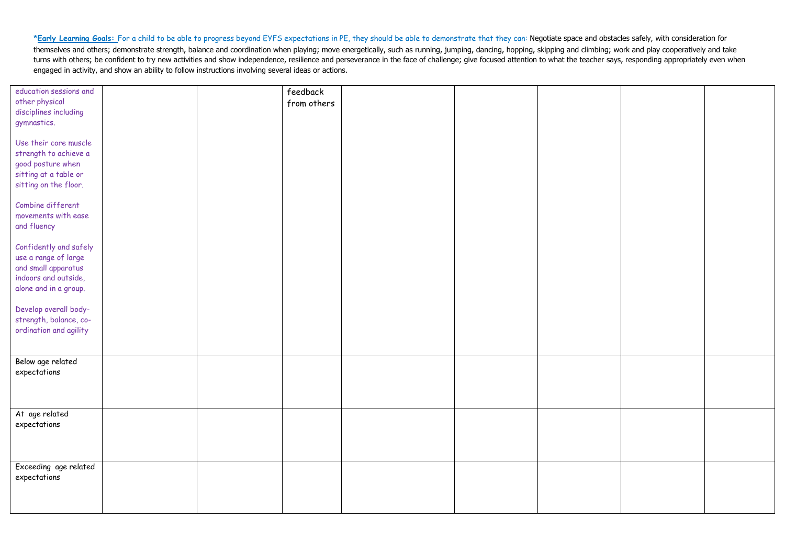| education sessions and |  | feedback    |  |  |  |
|------------------------|--|-------------|--|--|--|
| other physical         |  | from others |  |  |  |
| disciplines including  |  |             |  |  |  |
| gymnastics.            |  |             |  |  |  |
|                        |  |             |  |  |  |
| Use their core muscle  |  |             |  |  |  |
| strength to achieve a  |  |             |  |  |  |
| good posture when      |  |             |  |  |  |
|                        |  |             |  |  |  |
| sitting at a table or  |  |             |  |  |  |
| sitting on the floor.  |  |             |  |  |  |
|                        |  |             |  |  |  |
| Combine different      |  |             |  |  |  |
| movements with ease    |  |             |  |  |  |
| and fluency            |  |             |  |  |  |
|                        |  |             |  |  |  |
| Confidently and safely |  |             |  |  |  |
| use a range of large   |  |             |  |  |  |
| and small apparatus    |  |             |  |  |  |
| indoors and outside,   |  |             |  |  |  |
| alone and in a group.  |  |             |  |  |  |
|                        |  |             |  |  |  |
| Develop overall body-  |  |             |  |  |  |
| strength, balance, co- |  |             |  |  |  |
|                        |  |             |  |  |  |
| ordination and agility |  |             |  |  |  |
|                        |  |             |  |  |  |
| Below age related      |  |             |  |  |  |
| expectations           |  |             |  |  |  |
|                        |  |             |  |  |  |
|                        |  |             |  |  |  |
|                        |  |             |  |  |  |
| At age related         |  |             |  |  |  |
|                        |  |             |  |  |  |
| expectations           |  |             |  |  |  |
|                        |  |             |  |  |  |
|                        |  |             |  |  |  |
|                        |  |             |  |  |  |
| Exceeding age related  |  |             |  |  |  |
| expectations           |  |             |  |  |  |
|                        |  |             |  |  |  |
|                        |  |             |  |  |  |
|                        |  |             |  |  |  |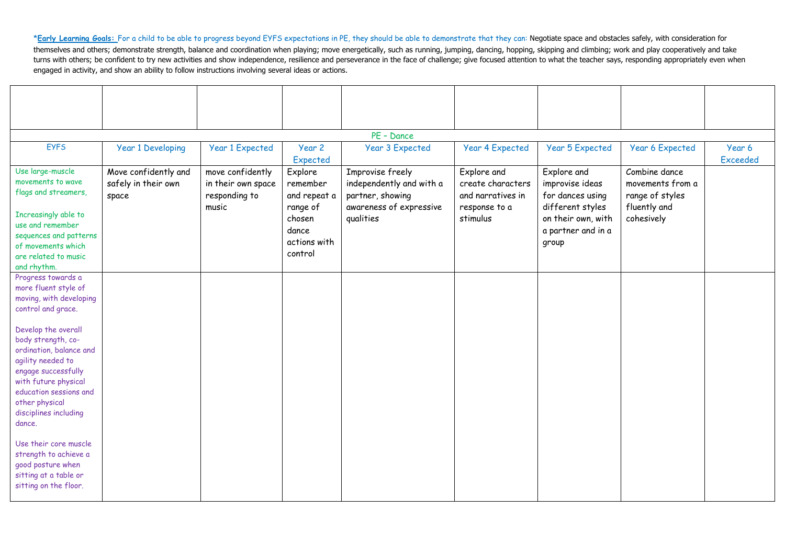| PE - Dance                                                                                                                                                                                                                                                                                                                                                                                    |                                                      |                                                                  |                                                                                               |                                                                                                          |                                                                                    |                                                                                                                             |                                                                                    |                           |  |  |
|-----------------------------------------------------------------------------------------------------------------------------------------------------------------------------------------------------------------------------------------------------------------------------------------------------------------------------------------------------------------------------------------------|------------------------------------------------------|------------------------------------------------------------------|-----------------------------------------------------------------------------------------------|----------------------------------------------------------------------------------------------------------|------------------------------------------------------------------------------------|-----------------------------------------------------------------------------------------------------------------------------|------------------------------------------------------------------------------------|---------------------------|--|--|
| <b>EYFS</b>                                                                                                                                                                                                                                                                                                                                                                                   | <b>Year 1 Developing</b>                             | <b>Year 1 Expected</b>                                           | Year 2<br>Expected                                                                            | <b>Year 3 Expected</b>                                                                                   | <b>Year 4 Expected</b>                                                             | <b>Year 5 Expected</b>                                                                                                      | <b>Year 6 Expected</b>                                                             | Year 6<br><b>Exceeded</b> |  |  |
| Use large-muscle<br>movements to wave<br>flags and streamers,<br>Increasingly able to<br>use and remember<br>sequences and patterns<br>of movements which<br>are related to music<br>and rhythm.                                                                                                                                                                                              | Move confidently and<br>safely in their own<br>space | move confidently<br>in their own space<br>responding to<br>music | Explore<br>remember<br>and repeat a<br>range of<br>chosen<br>dance<br>actions with<br>control | Improvise freely<br>independently and with a<br>partner, showing<br>awareness of expressive<br>qualities | Explore and<br>create characters<br>and narratives in<br>response to a<br>stimulus | Explore and<br>improvise ideas<br>for dances using<br>different styles<br>on their own, with<br>a partner and in a<br>group | Combine dance<br>movements from a<br>range of styles<br>fluently and<br>cohesively |                           |  |  |
| Progress towards a<br>more fluent style of<br>moving, with developing<br>control and grace.<br>Develop the overall<br>body strength, co-<br>ordination, balance and<br>agility needed to<br>engage successfully<br>with future physical<br>education sessions and<br>other physical<br>disciplines including<br>dance.<br>Use their core muscle<br>strength to achieve a<br>good posture when |                                                      |                                                                  |                                                                                               |                                                                                                          |                                                                                    |                                                                                                                             |                                                                                    |                           |  |  |
| sitting at a table or<br>sitting on the floor.                                                                                                                                                                                                                                                                                                                                                |                                                      |                                                                  |                                                                                               |                                                                                                          |                                                                                    |                                                                                                                             |                                                                                    |                           |  |  |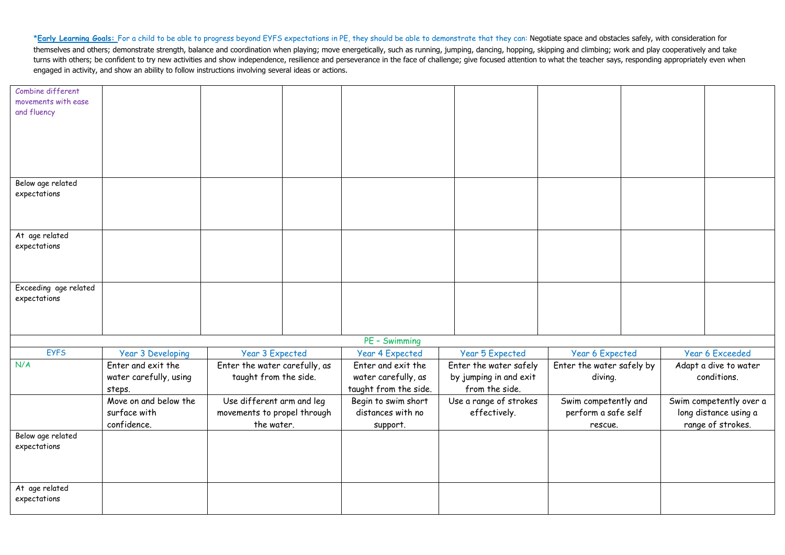| Combine different                  |                                 |                                                          |                                          |                                        |                                             |  |                                                  |
|------------------------------------|---------------------------------|----------------------------------------------------------|------------------------------------------|----------------------------------------|---------------------------------------------|--|--------------------------------------------------|
| movements with ease<br>and fluency |                                 |                                                          |                                          |                                        |                                             |  |                                                  |
|                                    |                                 |                                                          |                                          |                                        |                                             |  |                                                  |
|                                    |                                 |                                                          |                                          |                                        |                                             |  |                                                  |
|                                    |                                 |                                                          |                                          |                                        |                                             |  |                                                  |
|                                    |                                 |                                                          |                                          |                                        |                                             |  |                                                  |
|                                    |                                 |                                                          |                                          |                                        |                                             |  |                                                  |
| Below age related                  |                                 |                                                          |                                          |                                        |                                             |  |                                                  |
| expectations                       |                                 |                                                          |                                          |                                        |                                             |  |                                                  |
|                                    |                                 |                                                          |                                          |                                        |                                             |  |                                                  |
|                                    |                                 |                                                          |                                          |                                        |                                             |  |                                                  |
| At age related                     |                                 |                                                          |                                          |                                        |                                             |  |                                                  |
| expectations                       |                                 |                                                          |                                          |                                        |                                             |  |                                                  |
|                                    |                                 |                                                          |                                          |                                        |                                             |  |                                                  |
|                                    |                                 |                                                          |                                          |                                        |                                             |  |                                                  |
| Exceeding age related              |                                 |                                                          |                                          |                                        |                                             |  |                                                  |
| expectations                       |                                 |                                                          |                                          |                                        |                                             |  |                                                  |
|                                    |                                 |                                                          |                                          |                                        |                                             |  |                                                  |
|                                    |                                 |                                                          |                                          |                                        |                                             |  |                                                  |
|                                    |                                 |                                                          | PE - Swimming                            |                                        |                                             |  |                                                  |
| <b>EYFS</b>                        | <b>Year 3 Developing</b>        | <b>Year 3 Expected</b>                                   | <b>Year 4 Expected</b>                   | <b>Year 5 Expected</b>                 | <b>Year 6 Expected</b>                      |  | <b>Year 6 Exceeded</b>                           |
| N/A                                | Enter and exit the              | Enter the water carefully, as                            | Enter and exit the                       | Enter the water safely                 | Enter the water safely by                   |  | Adapt a dive to water                            |
|                                    | water carefully, using          | taught from the side.                                    | water carefully, as                      | by jumping in and exit                 | diving.                                     |  | conditions.                                      |
|                                    | steps.<br>Move on and below the |                                                          | taught from the side.                    | from the side.                         |                                             |  |                                                  |
|                                    | surface with                    | Use different arm and leg<br>movements to propel through | Begin to swim short<br>distances with no | Use a range of strokes<br>effectively. | Swim competently and<br>perform a safe self |  | Swim competently over a<br>long distance using a |
|                                    | confidence.                     | the water.                                               | support.                                 |                                        | rescue.                                     |  | range of strokes.                                |
| Below age related                  |                                 |                                                          |                                          |                                        |                                             |  |                                                  |
| expectations                       |                                 |                                                          |                                          |                                        |                                             |  |                                                  |
|                                    |                                 |                                                          |                                          |                                        |                                             |  |                                                  |
|                                    |                                 |                                                          |                                          |                                        |                                             |  |                                                  |
| At age related                     |                                 |                                                          |                                          |                                        |                                             |  |                                                  |
| expectations                       |                                 |                                                          |                                          |                                        |                                             |  |                                                  |
|                                    |                                 |                                                          |                                          |                                        |                                             |  |                                                  |